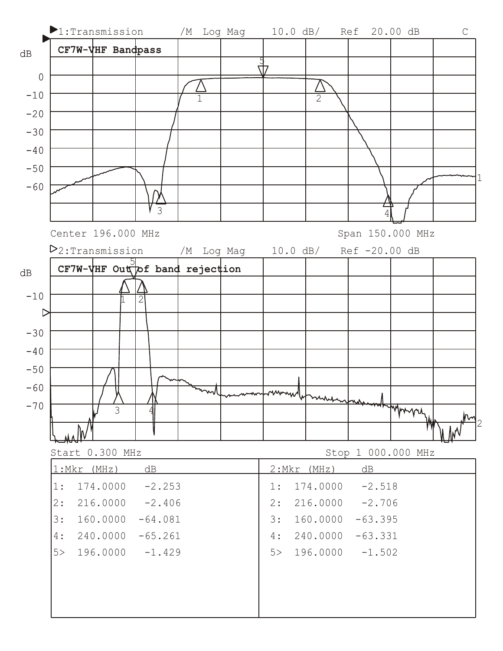